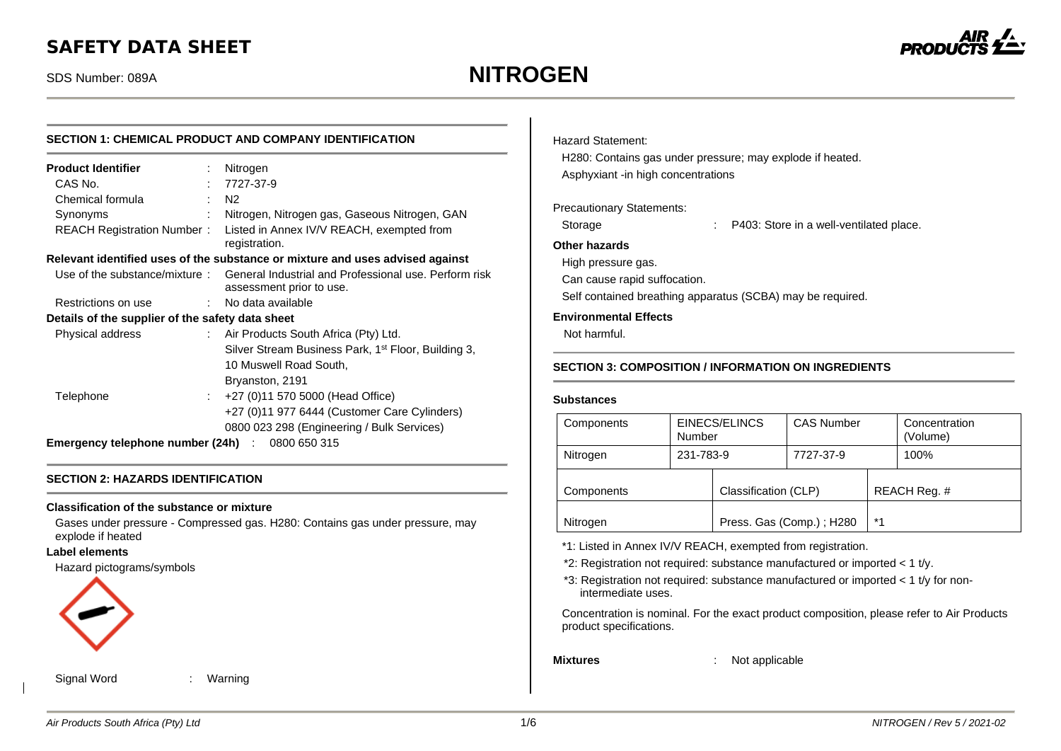## *SAFETY DATA SHEET*

# SDS Number: 089A **NITROGEN**



| <b>SECTION 1: CHEMICAL PRODUCT AND COMPANY IDENTIFICATION</b> |               |                                                                                                                 |  |  |
|---------------------------------------------------------------|---------------|-----------------------------------------------------------------------------------------------------------------|--|--|
| <b>Product Identifier</b>                                     | ÷             | Nitrogen                                                                                                        |  |  |
| CAS No.                                                       |               | 7727-37-9                                                                                                       |  |  |
| Chemical formula                                              | ÷             | N <sub>2</sub>                                                                                                  |  |  |
| Synonyms                                                      | ÷.            | Nitrogen, Nitrogen gas, Gaseous Nitrogen, GAN                                                                   |  |  |
| REACH Registration Number:                                    |               | Listed in Annex IV/V REACH, exempted from<br>registration.                                                      |  |  |
|                                                               |               | Relevant identified uses of the substance or mixture and uses advised against                                   |  |  |
|                                                               |               | Use of the substance/mixture: General Industrial and Professional use. Perform risk<br>assessment prior to use. |  |  |
| Restrictions on use                                           | $\mathcal{L}$ | No data available                                                                                               |  |  |
| Details of the supplier of the safety data sheet              |               |                                                                                                                 |  |  |
| Physical address                                              |               | : Air Products South Africa (Pty) Ltd.                                                                          |  |  |
|                                                               |               | Silver Stream Business Park, 1 <sup>st</sup> Floor, Building 3,                                                 |  |  |
|                                                               |               | 10 Muswell Road South,                                                                                          |  |  |
|                                                               |               | Bryanston, 2191                                                                                                 |  |  |
| Telephone                                                     |               | +27 (0)11 570 5000 (Head Office)                                                                                |  |  |
|                                                               |               | +27 (0)11 977 6444 (Customer Care Cylinders)                                                                    |  |  |
|                                                               |               | 0800 023 298 (Engineering / Bulk Services)                                                                      |  |  |
| Emergency telephone number (24h)<br>0800 650 315              |               |                                                                                                                 |  |  |

#### **SECTION 2: HAZARDS IDENTIFICATION**

#### **Classification of the substance or mixture**

Gases under pressure - Compressed gas. H280: Contains gas under pressure, may explode if heated

#### **Label elements**

Hazard pictograms/symbols



Signal Word : Warning

Hazard Statement:

H280: Contains gas under pressure; may explode if heated. Asphyxiant -in high concentrations

#### Precautionary Statements:

## Storage : P403: Store in a well-ventilated place.

## **Other hazards**

High pressure gas.

Can cause rapid suffocation.

Self contained breathing apparatus (SCBA) may be required.

#### **Environmental Effects**

Not harmful.

#### **SECTION 3: COMPOSITION / INFORMATION ON INGREDIENTS**

#### **Substances**

| Components | Number    | EINECS/ELINCS            | <b>CAS Number</b> |      | Concentration<br>(Volume) |
|------------|-----------|--------------------------|-------------------|------|---------------------------|
| Nitrogen   | 231-783-9 |                          | 7727-37-9         |      | 100%                      |
| Components |           | Classification (CLP)     |                   |      | REACH Reg. #              |
| Nitrogen   |           | Press. Gas (Comp.); H280 |                   | $*1$ |                           |

\*1: Listed in Annex IV/V REACH, exempted from registration.

- \*2: Registration not required: substance manufactured or imported < 1 t/y.
- \*3: Registration not required: substance manufactured or imported < 1 t/y for nonintermediate uses.

Concentration is nominal. For the exact product composition, please refer to Air Products product specifications.

**Mixtures** : Not applicable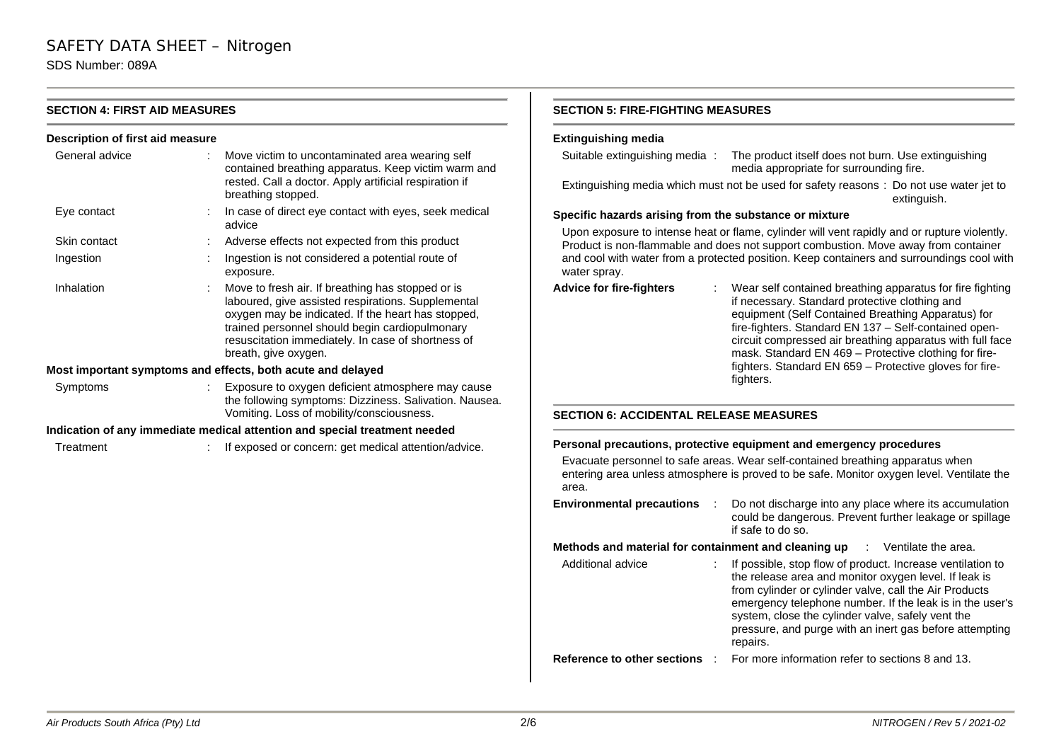## *SAFETY DATA SHEET – Nitrogen* SDS Number: 089A

| <b>SECTION 4: FIRST AID MEASURES</b> |                                                                                                                                                                                                                                                                                               | <b>SECTION 5: FIRE-FIGHTING MEASURES</b><br><b>Extinguishing media</b>                                                                                                                                                                                                                                                                                                              |  |  |  |
|--------------------------------------|-----------------------------------------------------------------------------------------------------------------------------------------------------------------------------------------------------------------------------------------------------------------------------------------------|-------------------------------------------------------------------------------------------------------------------------------------------------------------------------------------------------------------------------------------------------------------------------------------------------------------------------------------------------------------------------------------|--|--|--|
| Description of first aid measure     |                                                                                                                                                                                                                                                                                               |                                                                                                                                                                                                                                                                                                                                                                                     |  |  |  |
| General advice                       | Move victim to uncontaminated area wearing self<br>contained breathing apparatus. Keep victim warm and                                                                                                                                                                                        | Suitable extinguishing media :<br>The product itself does not burn. Use extinguishing<br>media appropriate for surrounding fire.                                                                                                                                                                                                                                                    |  |  |  |
|                                      | rested. Call a doctor. Apply artificial respiration if<br>breathing stopped.                                                                                                                                                                                                                  | Extinguishing media which must not be used for safety reasons: Do not use water jet to<br>extinguish.                                                                                                                                                                                                                                                                               |  |  |  |
| Eye contact                          | In case of direct eye contact with eyes, seek medical<br>advice                                                                                                                                                                                                                               | Specific hazards arising from the substance or mixture                                                                                                                                                                                                                                                                                                                              |  |  |  |
| Skin contact                         | Adverse effects not expected from this product                                                                                                                                                                                                                                                | Upon exposure to intense heat or flame, cylinder will vent rapidly and or rupture violently.<br>Product is non-flammable and does not support combustion. Move away from container                                                                                                                                                                                                  |  |  |  |
| Ingestion                            | Ingestion is not considered a potential route of<br>exposure.                                                                                                                                                                                                                                 | and cool with water from a protected position. Keep containers and surroundings cool with<br>water spray.                                                                                                                                                                                                                                                                           |  |  |  |
| Inhalation                           | Move to fresh air. If breathing has stopped or is<br>laboured, give assisted respirations. Supplemental<br>oxygen may be indicated. If the heart has stopped,<br>trained personnel should begin cardiopulmonary<br>resuscitation immediately. In case of shortness of<br>breath, give oxygen. | <b>Advice for fire-fighters</b><br>Wear self contained breathing apparatus for fire fighting<br>if necessary. Standard protective clothing and<br>equipment (Self Contained Breathing Apparatus) for<br>fire-fighters. Standard EN 137 - Self-contained open-<br>circuit compressed air breathing apparatus with full face<br>mask. Standard EN 469 - Protective clothing for fire- |  |  |  |
|                                      | Most important symptoms and effects, both acute and delayed                                                                                                                                                                                                                                   | fighters. Standard EN 659 - Protective gloves for fire-                                                                                                                                                                                                                                                                                                                             |  |  |  |
| Symptoms                             | Exposure to oxygen deficient atmosphere may cause<br>the following symptoms: Dizziness. Salivation. Nausea.<br>Vomiting. Loss of mobility/consciousness.                                                                                                                                      | fighters.                                                                                                                                                                                                                                                                                                                                                                           |  |  |  |
|                                      | Indication of any immediate medical attention and special treatment needed                                                                                                                                                                                                                    | <b>SECTION 6: ACCIDENTAL RELEASE MEASURES</b>                                                                                                                                                                                                                                                                                                                                       |  |  |  |
| Treatment                            | : If exposed or concern: get medical attention/advice.                                                                                                                                                                                                                                        | Personal precautions, protective equipment and emergency procedures                                                                                                                                                                                                                                                                                                                 |  |  |  |
|                                      |                                                                                                                                                                                                                                                                                               | Evacuate personnel to safe areas. Wear self-contained breathing apparatus when<br>entering area unless atmosphere is proved to be safe. Monitor oxygen level. Ventilate the<br>area.                                                                                                                                                                                                |  |  |  |
|                                      |                                                                                                                                                                                                                                                                                               | Do not discharge into any place where its accumulation<br><b>Environmental precautions</b><br>could be dangerous. Prevent further leakage or spillage<br>if safe to do so.                                                                                                                                                                                                          |  |  |  |
|                                      |                                                                                                                                                                                                                                                                                               | Methods and material for containment and cleaning up<br>: Ventilate the area.                                                                                                                                                                                                                                                                                                       |  |  |  |
|                                      |                                                                                                                                                                                                                                                                                               | Additional advice<br>If possible, stop flow of product. Increase ventilation to<br>the release area and monitor oxygen level. If leak is<br>from cylinder or cylinder valve, call the Air Products<br>emergency telephone number. If the leak is in the user's                                                                                                                      |  |  |  |

 $\mathbf{I}$ 

system, close the cylinder valve, safely vent the pressure, and purge with an inert gas before attempting

.<br>repairs. **Reference to other sections** : For more information refer to sections 8 and 13.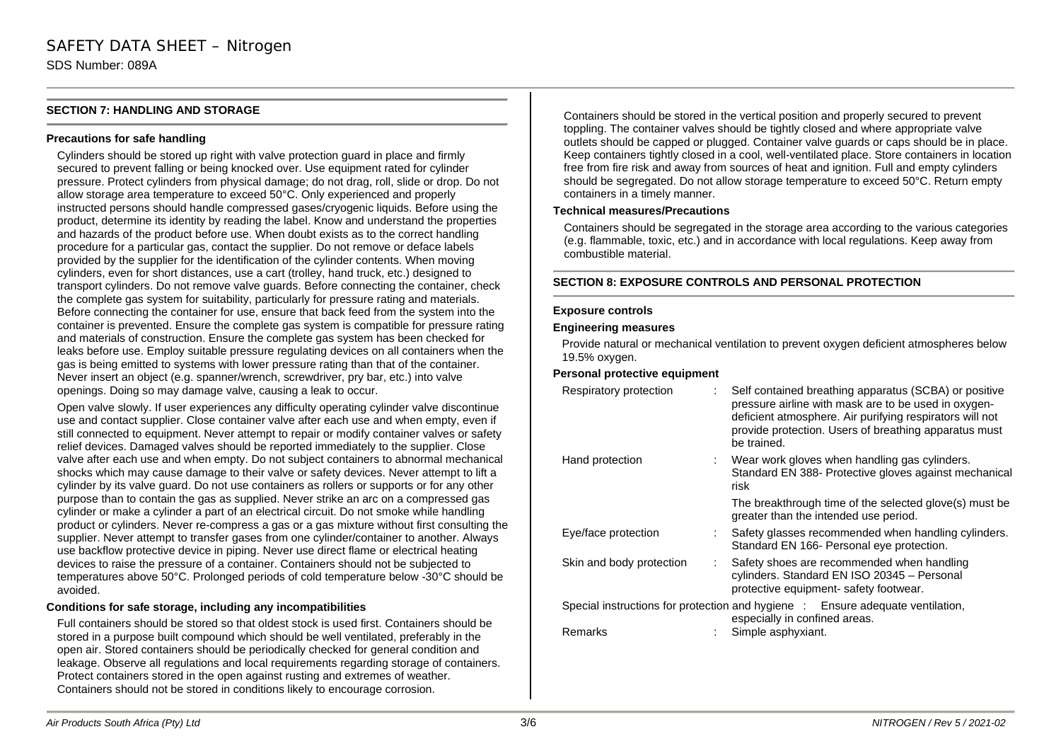### **SECTION 7: HANDLING AND STORAGE**

#### **Precautions for safe handling**

Cylinders should be stored up right with valve protection guard in place and firmly secured to prevent falling or being knocked over. Use equipment rated for cylinder pressure. Protect cylinders from physical damage; do not drag, roll, slide or drop. Do not allow storage area temperature to exceed 50°C. Only experienced and properly instructed persons should handle compressed gases/cryogenic liquids. Before using the product, determine its identity by reading the label. Know and understand the properties and hazards of the product before use. When doubt exists as to the correct handling procedure for a particular gas, contact the supplier. Do not remove or deface labels provided by the supplier for the identification of the cylinder contents. When moving cylinders, even for short distances, use a cart (trolley, hand truck, etc.) designed to transport cylinders. Do not remove valve guards. Before connecting the container, check the complete gas system for suitability, particularly for pressure rating and materials. Before connecting the container for use, ensure that back feed from the system into the container is prevented. Ensure the complete gas system is compatible for pressure rating and materials of construction. Ensure the complete gas system has been checked for leaks before use. Employ suitable pressure regulating devices on all containers when the gas is being emitted to systems with lower pressure rating than that of the container. Never insert an object (e.g. spanner/wrench, screwdriver, pry bar, etc.) into valve openings. Doing so may damage valve, causing a leak to occur.

Open valve slowly. If user experiences any difficulty operating cylinder valve discontinue use and contact supplier. Close container valve after each use and when empty, even if still connected to equipment. Never attempt to repair or modify container valves or safety relief devices. Damaged valves should be reported immediately to the supplier. Close valve after each use and when empty. Do not subject containers to abnormal mechanical shocks which may cause damage to their valve or safety devices. Never attempt to lift a cylinder by its valve guard. Do not use containers as rollers or supports or for any other purpose than to contain the gas as supplied. Never strike an arc on a compressed gas cylinder or make a cylinder a part of an electrical circuit. Do not smoke while handling product or cylinders. Never re-compress a gas or a gas mixture without first consulting the supplier. Never attempt to transfer gases from one cylinder/container to another. Always use backflow protective device in piping. Never use direct flame or electrical heating devices to raise the pressure of a container. Containers should not be subjected to temperatures above 50°C. Prolonged periods of cold temperature below -30°C should be avoided.

#### **Conditions for safe storage, including any incompatibilities**

Full containers should be stored so that oldest stock is used first. Containers should be stored in a purpose built compound which should be well ventilated, preferably in the open air. Stored containers should be periodically checked for general condition and leakage. Observe all regulations and local requirements regarding storage of containers. Protect containers stored in the open against rusting and extremes of weather. Containers should not be stored in conditions likely to encourage corrosion.

Containers should be stored in the vertical position and properly secured to prevent toppling. The container valves should be tightly closed and where appropriate valve outlets should be capped or plugged. Container valve guards or caps should be in place. Keep containers tightly closed in a cool, well-ventilated place. Store containers in location free from fire risk and away from sources of heat and ignition. Full and empty cylinders should be segregated. Do not allow storage temperature to exceed 50°C. Return empty containers in a timely manner.

#### **Technical measures/Precautions**

Containers should be segregated in the storage area according to the various categories (e.g. flammable, toxic, etc.) and in accordance with local regulations. Keep away from combustible material.

#### **SECTION 8: EXPOSURE CONTROLS AND PERSONAL PROTECTION**

#### **Exposure controls**

#### **Engineering measures**

Provide natural or mechanical ventilation to prevent oxygen deficient atmospheres below 19.5% oxygen.

#### **Personal protective equipment**

| Respiratory protection   | Self contained breathing apparatus (SCBA) or positive<br>pressure airline with mask are to be used in oxygen-<br>deficient atmosphere. Air purifying respirators will not<br>provide protection. Users of breathing apparatus must<br>be trained. |
|--------------------------|---------------------------------------------------------------------------------------------------------------------------------------------------------------------------------------------------------------------------------------------------|
| Hand protection          | Wear work gloves when handling gas cylinders.<br>Standard EN 388- Protective gloves against mechanical<br>risk                                                                                                                                    |
|                          | The breakthrough time of the selected glove(s) must be<br>greater than the intended use period.                                                                                                                                                   |
| Eye/face protection      | Safety glasses recommended when handling cylinders.<br>Standard EN 166- Personal eye protection.                                                                                                                                                  |
| Skin and body protection | Safety shoes are recommended when handling<br>cylinders. Standard EN ISO 20345 - Personal<br>protective equipment- safety footwear.                                                                                                               |
|                          | Special instructions for protection and hygiene : Ensure adequate ventilation,<br>especially in confined areas.                                                                                                                                   |
| Remarks                  | Simple asphyxiant.                                                                                                                                                                                                                                |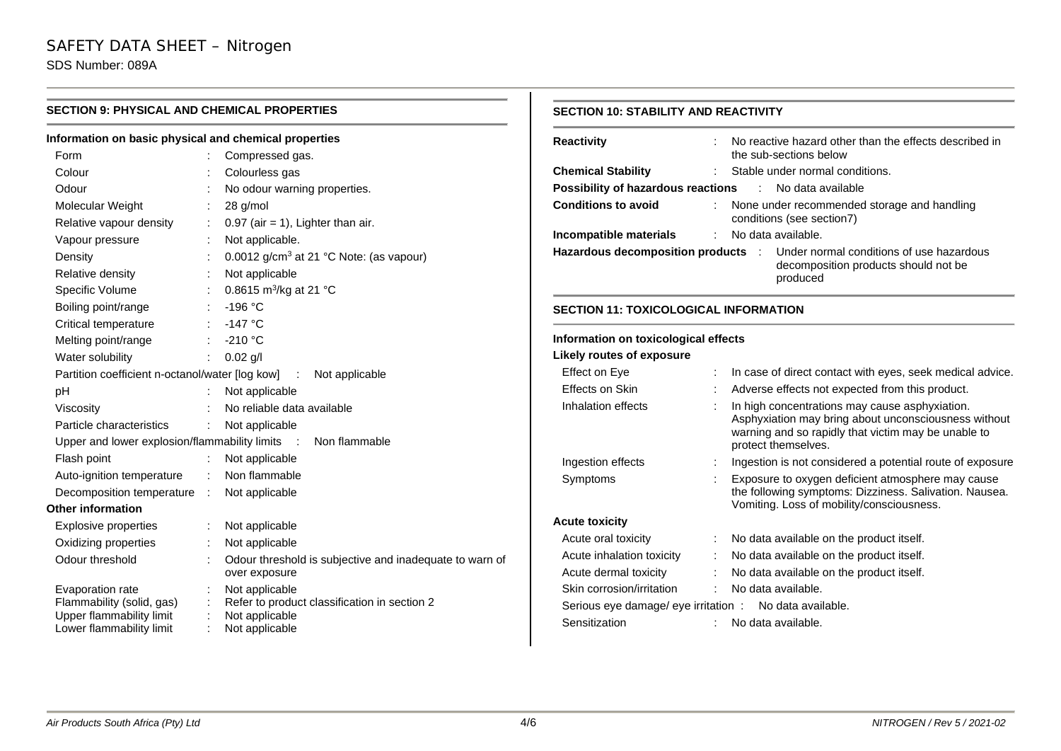## *SAFETY DATA SHEET – Nitrogen*

SDS Number: 089A

#### **SECTION 9: PHYSICAL AND CHEMICAL PROPERTIES Information on basic physical and chemical properties** Form : Compressed gas. Colour : Colourless gas Odour : No odour warning properties. Molecular Weight : 28 g/mol Relative vapour density  $\therefore$  0.97 (air = 1), Lighter than air. Vapour pressure : Not applicable. Density  $\therefore$  0.0012 g/cm<sup>3</sup> at 21 °C Note: (as vapour) Relative density **:** Not applicable Specific Volume : 0.8615 m<sup>3</sup>/kg at 21 °C Boiling point/range : -196 °C Critical temperature : -147 °C Melting point/range : -210 °C Water solubility : 0.02 g/l Partition coefficient n-octanol/water [log kow] : Not applicable pH : Not applicable Viscosity : No reliable data available Particle characteristics : Not applicable Upper and lower explosion/flammability limits : Non flammable Flash point : Not applicable Auto-ignition temperature : Non flammable Decomposition temperature : Not applicable **Other information** Explosive properties : Not applicable Oxidizing properties : Not applicable Odour threshold : Odour threshold is subjective and inadequate to warn of over exposure Evaporation rate : Not applicable<br>
Flammability (solid, gas) : Refer to produc Refer to product classification in section 2<br>Not applicable Upper flammability limit : Not applicable<br>
Lower flammability limit : Not applicable Lower flammability limit : **SECTION 10: STABILITY AND REACTIVITY Reactivity** : No reactive hazard other than the effects described in the sub-sections below **Chemical Stability** : Stable under normal conditions. **Possibility of hazardous reactions** : No data available **Conditions to avoid** : None under recommended storage and handling conditions (see section7) **Incompatible materials** : No data available. **Hazardous decomposition products** : Under normal conditions of use hazardous decomposition products should not be produced **SECTION 11: TOXICOLOGICAL INFORMATION Information on toxicological effects Likely routes of exposure** Effect on Eye : In case of direct contact with eyes, seek medical advice. Effects on Skin : Adverse effects not expected from this product. Inhalation effects : In high concentrations may cause asphyxiation. Asphyxiation may bring about unconsciousness without warning and so rapidly that victim may be unable to protect themselves. Ingestion effects : Ingestion is not considered a potential route of exposure Symptoms : Exposure to oxygen deficient atmosphere may cause the following symptoms: Dizziness. Salivation. Nausea. Vomiting. Loss of mobility/consciousness. **Acute toxicity** Acute oral toxicity : No data available on the product itself. Acute inhalation toxicity : No data available on the product itself. Acute dermal toxicity : No data available on the product itself. Skin corrosion/irritation : No data available. Serious eve damage/ eve irritation : No data available. Sensitization : No data available.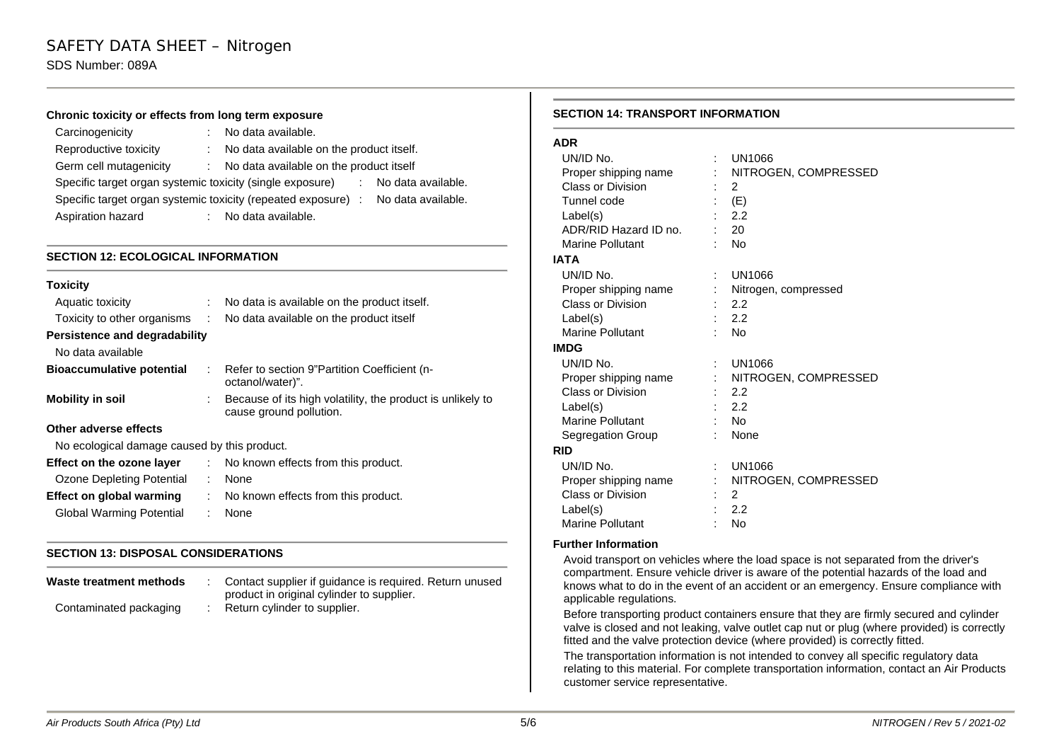#### **Chronic toxicity or effects from long term exposure**

| Carcinogenicity                                           |    | No data available.                                            |                    |
|-----------------------------------------------------------|----|---------------------------------------------------------------|--------------------|
| Reproductive toxicity                                     |    | No data available on the product itself.                      |                    |
| Germ cell mutagenicity                                    | ÷. | No data available on the product itself                       |                    |
| Specific target organ systemic toxicity (single exposure) |    | t in                                                          | No data available. |
|                                                           |    | Specific target organ systemic toxicity (repeated exposure) : | No data available. |
| Aspiration hazard                                         |    | No data available.                                            |                    |

#### **SECTION 12: ECOLOGICAL INFORMATION**

| Toxicity                                     |    |                                                                                       |
|----------------------------------------------|----|---------------------------------------------------------------------------------------|
| Aquatic toxicity                             |    | No data is available on the product itself.                                           |
| Toxicity to other organisms :                |    | No data available on the product itself                                               |
| Persistence and degradability                |    |                                                                                       |
| No data available                            |    |                                                                                       |
| <b>Bioaccumulative potential</b>             |    | Refer to section 9"Partition Coefficient (n-<br>octanol/water)".                      |
| <b>Mobility in soil</b>                      |    | Because of its high volatility, the product is unlikely to<br>cause ground pollution. |
| Other adverse effects                        |    |                                                                                       |
| No ecological damage caused by this product. |    |                                                                                       |
| Effect on the ozone layer                    | t. | No known effects from this product.                                                   |
| Ozone Depleting Potential                    | ÷  | None                                                                                  |
| Effect on global warming                     | t. | No known effects from this product.                                                   |
| Global Warming Potential                     |    | None                                                                                  |

#### **SECTION 13: DISPOSAL CONSIDERATIONS**

| Waste treatment methods | Contact supplier if quidance is required. Return unused<br>product in original cylinder to supplier. |
|-------------------------|------------------------------------------------------------------------------------------------------|
| Contaminated packaging  | Return cylinder to supplier.                                                                         |

#### **SECTION 14: TRANSPORT INFORMATION**

#### **ADR**

| UN/ID No.               |   | <b>UN1066</b>        |
|-------------------------|---|----------------------|
| Proper shipping name    |   | NITROGEN, COMPRESSED |
| Class or Division       |   | 2                    |
| Tunnel code             |   | (E)                  |
| Label(s)                |   | 2.2                  |
| ADR/RID Hazard ID no.   |   | 20                   |
| Marine Pollutant        |   | No                   |
| <b>IATA</b>             |   |                      |
| UN/ID No.               |   | UN1066               |
| Proper shipping name    |   | Nitrogen, compressed |
| Class or Division       |   | 2.2                  |
| Label(s)                |   | 2.2                  |
| Marine Pollutant        |   | No                   |
| <b>IMDG</b>             |   |                      |
| UN/ID No.               |   | UN1066               |
| Proper shipping name    |   | NITROGEN, COMPRESSED |
| Class or Division       |   | 2.2                  |
| Label(s)                |   | 2.2                  |
| Marine Pollutant        |   | : No                 |
| Segregation Group       |   | None                 |
| RID                     |   |                      |
| UN/ID No.               | ÷ | <b>UN1066</b>        |
| Proper shipping name    |   | NITROGEN, COMPRESSED |
| Class or Division       |   | 2                    |
| Label(s)                |   | 2.2                  |
| <b>Marine Pollutant</b> |   | No                   |

#### **Further Information**

Avoid transport on vehicles where the load space is not separated from the driver's compartment. Ensure vehicle driver is aware of the potential hazards of the load and knows what to do in the event of an accident or an emergency. Ensure compliance with applicable regulations.

Before transporting product containers ensure that they are firmly secured and cylinder valve is closed and not leaking, valve outlet cap nut or plug (where provided) is correctly fitted and the valve protection device (where provided) is correctly fitted.

The transportation information is not intended to convey all specific regulatory data relating to this material. For complete transportation information, contact an Air Products customer service representative.